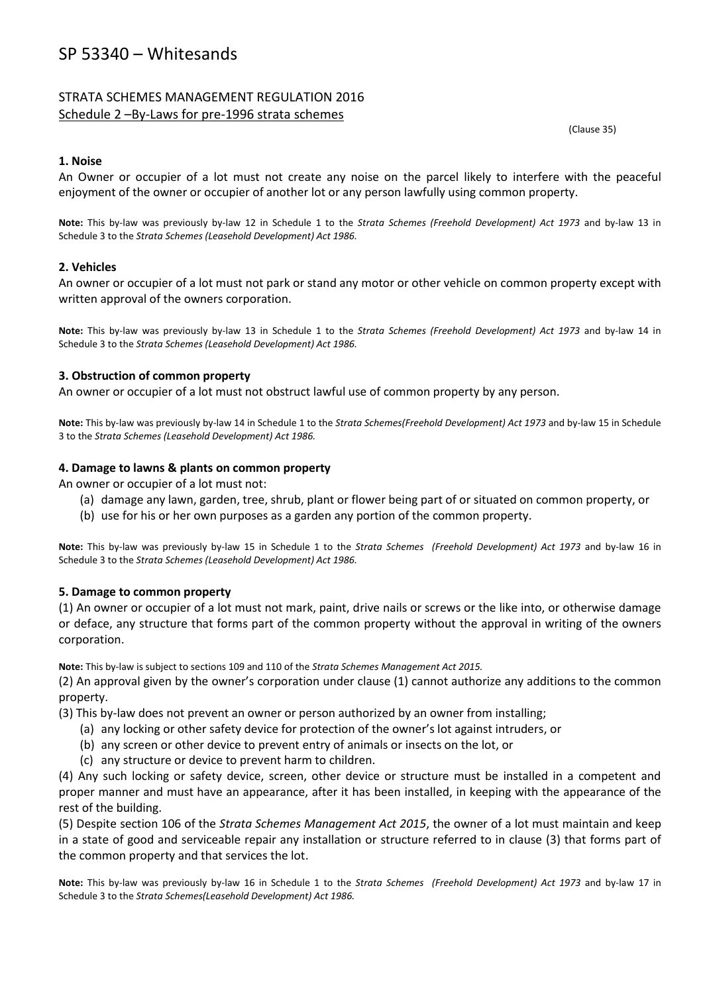# SP 53340 – Whitesands

## STRATA SCHEMES MANAGEMENT REGULATION 2016 Schedule 2 –By-Laws for pre-1996 strata schemes

(Clause 35)

### **1. Noise**

An Owner or occupier of a lot must not create any noise on the parcel likely to interfere with the peaceful enjoyment of the owner or occupier of another lot or any person lawfully using common property.

**Note:** This by-law was previously by-law 12 in Schedule 1 to the *Strata Schemes (Freehold Development) Act 1973* and by-law 13 in Schedule 3 to the *Strata Schemes (Leasehold Development) Act 1986.*

### **2. Vehicles**

An owner or occupier of a lot must not park or stand any motor or other vehicle on common property except with written approval of the owners corporation.

**Note:** This by-law was previously by-law 13 in Schedule 1 to the *Strata Schemes (Freehold Development) Act 1973* and by-law 14 in Schedule 3 to the *Strata Schemes (Leasehold Development) Act 1986.*

#### **3. Obstruction of common property**

An owner or occupier of a lot must not obstruct lawful use of common property by any person.

**Note:** This by-law was previously by-law 14 in Schedule 1 to the *Strata Schemes(Freehold Development) Act 1973* and by-law 15 in Schedule 3 to the *Strata Schemes (Leasehold Development) Act 1986.*

#### **4. Damage to lawns & plants on common property**

An owner or occupier of a lot must not:

- (a) damage any lawn, garden, tree, shrub, plant or flower being part of or situated on common property, or
- (b) use for his or her own purposes as a garden any portion of the common property.

**Note:** This by-law was previously by-law 15 in Schedule 1 to the *Strata Schemes (Freehold Development) Act 1973* and by-law 16 in Schedule 3 to the *Strata Schemes (Leasehold Development) Act 1986.*

### **5. Damage to common property**

(1) An owner or occupier of a lot must not mark, paint, drive nails or screws or the like into, or otherwise damage or deface, any structure that forms part of the common property without the approval in writing of the owners corporation.

**Note:** This by-law is subject to sections 109 and 110 of the *Strata Schemes Management Act 2015.*

(2) An approval given by the owner's corporation under clause (1) cannot authorize any additions to the common property.

(3) This by-law does not prevent an owner or person authorized by an owner from installing;

- (a) any locking or other safety device for protection of the owner's lot against intruders, or
- (b) any screen or other device to prevent entry of animals or insects on the lot, or
- (c) any structure or device to prevent harm to children.

(4) Any such locking or safety device, screen, other device or structure must be installed in a competent and proper manner and must have an appearance, after it has been installed, in keeping with the appearance of the rest of the building.

(5) Despite section 106 of the *Strata Schemes Management Act 2015*, the owner of a lot must maintain and keep in a state of good and serviceable repair any installation or structure referred to in clause (3) that forms part of the common property and that services the lot.

**Note:** This by-law was previously by-law 16 in Schedule 1 to the *Strata Schemes (Freehold Development) Act 1973* and by-law 17 in Schedule 3 to the *Strata Schemes(Leasehold Development) Act 1986.*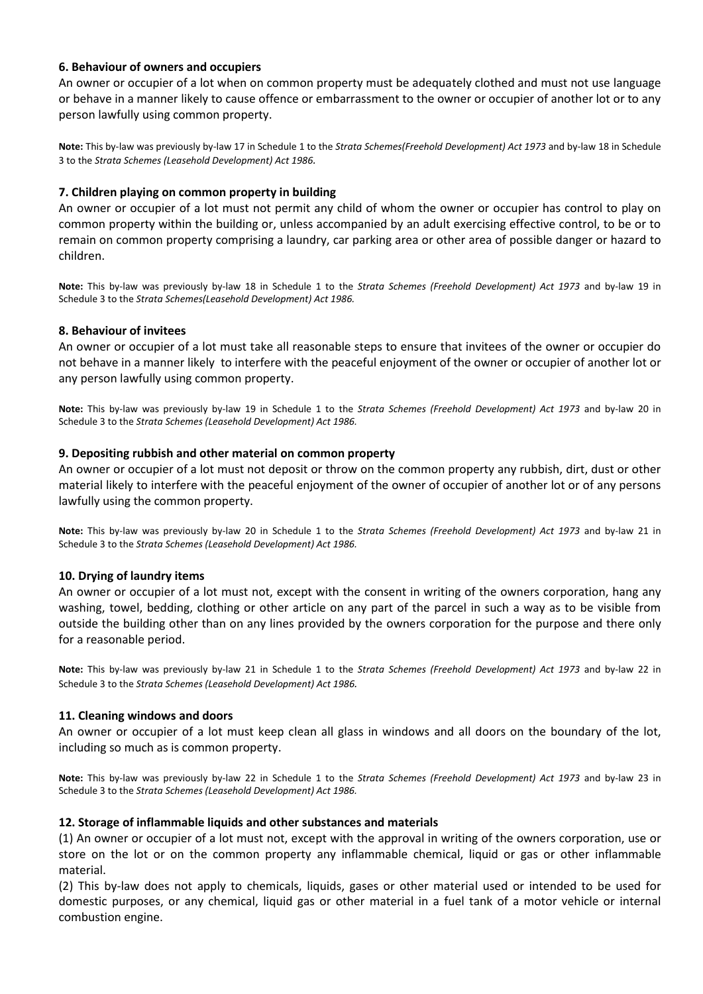#### **6. Behaviour of owners and occupiers**

An owner or occupier of a lot when on common property must be adequately clothed and must not use language or behave in a manner likely to cause offence or embarrassment to the owner or occupier of another lot or to any person lawfully using common property.

**Note:** This by-law was previously by-law 17 in Schedule 1 to the *Strata Schemes(Freehold Development) Act 1973* and by-law 18 in Schedule 3 to the *Strata Schemes (Leasehold Development) Act 1986.*

#### **7. Children playing on common property in building**

An owner or occupier of a lot must not permit any child of whom the owner or occupier has control to play on common property within the building or, unless accompanied by an adult exercising effective control, to be or to remain on common property comprising a laundry, car parking area or other area of possible danger or hazard to children.

**Note:** This by-law was previously by-law 18 in Schedule 1 to the *Strata Schemes (Freehold Development) Act 1973* and by-law 19 in Schedule 3 to the *Strata Schemes(Leasehold Development) Act 1986.*

#### **8. Behaviour of invitees**

An owner or occupier of a lot must take all reasonable steps to ensure that invitees of the owner or occupier do not behave in a manner likely to interfere with the peaceful enjoyment of the owner or occupier of another lot or any person lawfully using common property.

**Note:** This by-law was previously by-law 19 in Schedule 1 to the *Strata Schemes (Freehold Development) Act 1973* and by-law 20 in Schedule 3 to the *Strata Schemes (Leasehold Development) Act 1986.*

#### **9. Depositing rubbish and other material on common property**

An owner or occupier of a lot must not deposit or throw on the common property any rubbish, dirt, dust or other material likely to interfere with the peaceful enjoyment of the owner of occupier of another lot or of any persons lawfully using the common property.

**Note:** This by-law was previously by-law 20 in Schedule 1 to the *Strata Schemes (Freehold Development) Act 1973* and by-law 21 in Schedule 3 to the *Strata Schemes (Leasehold Development) Act 1986.*

#### **10. Drying of laundry items**

An owner or occupier of a lot must not, except with the consent in writing of the owners corporation, hang any washing, towel, bedding, clothing or other article on any part of the parcel in such a way as to be visible from outside the building other than on any lines provided by the owners corporation for the purpose and there only for a reasonable period.

**Note:** This by-law was previously by-law 21 in Schedule 1 to the *Strata Schemes (Freehold Development) Act 1973* and by-law 22 in Schedule 3 to the *Strata Schemes (Leasehold Development) Act 1986.*

#### **11. Cleaning windows and doors**

An owner or occupier of a lot must keep clean all glass in windows and all doors on the boundary of the lot, including so much as is common property.

**Note:** This by-law was previously by-law 22 in Schedule 1 to the *Strata Schemes (Freehold Development) Act 1973* and by-law 23 in Schedule 3 to the *Strata Schemes (Leasehold Development) Act 1986.*

#### **12. Storage of inflammable liquids and other substances and materials**

(1) An owner or occupier of a lot must not, except with the approval in writing of the owners corporation, use or store on the lot or on the common property any inflammable chemical, liquid or gas or other inflammable material.

(2) This by-law does not apply to chemicals, liquids, gases or other material used or intended to be used for domestic purposes, or any chemical, liquid gas or other material in a fuel tank of a motor vehicle or internal combustion engine.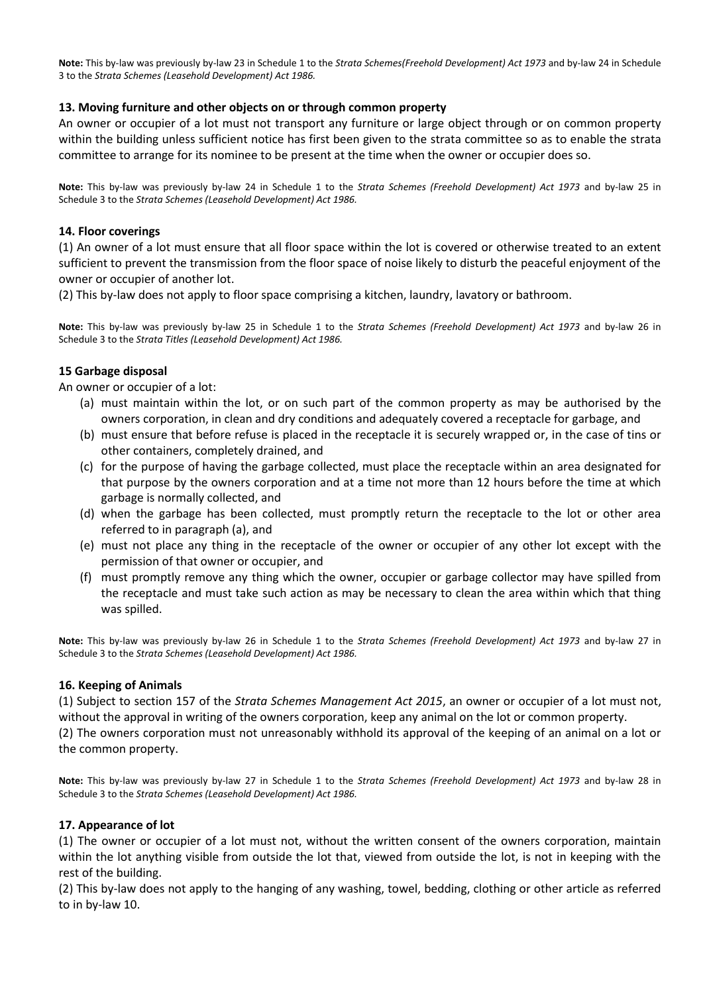**Note:** This by-law was previously by-law 23 in Schedule 1 to the *Strata Schemes(Freehold Development) Act 1973* and by-law 24 in Schedule 3 to the *Strata Schemes (Leasehold Development) Act 1986.*

### **13. Moving furniture and other objects on or through common property**

An owner or occupier of a lot must not transport any furniture or large object through or on common property within the building unless sufficient notice has first been given to the strata committee so as to enable the strata committee to arrange for its nominee to be present at the time when the owner or occupier does so.

**Note:** This by-law was previously by-law 24 in Schedule 1 to the *Strata Schemes (Freehold Development) Act 1973* and by-law 25 in Schedule 3 to the *Strata Schemes (Leasehold Development) Act 1986.*

### **14. Floor coverings**

(1) An owner of a lot must ensure that all floor space within the lot is covered or otherwise treated to an extent sufficient to prevent the transmission from the floor space of noise likely to disturb the peaceful enjoyment of the owner or occupier of another lot.

(2) This by-law does not apply to floor space comprising a kitchen, laundry, lavatory or bathroom.

**Note:** This by-law was previously by-law 25 in Schedule 1 to the *Strata Schemes (Freehold Development) Act 1973* and by-law 26 in Schedule 3 to the *Strata Titles (Leasehold Development) Act 1986.*

### **15 Garbage disposal**

An owner or occupier of a lot:

- (a) must maintain within the lot, or on such part of the common property as may be authorised by the owners corporation, in clean and dry conditions and adequately covered a receptacle for garbage, and
- (b) must ensure that before refuse is placed in the receptacle it is securely wrapped or, in the case of tins or other containers, completely drained, and
- (c) for the purpose of having the garbage collected, must place the receptacle within an area designated for that purpose by the owners corporation and at a time not more than 12 hours before the time at which garbage is normally collected, and
- (d) when the garbage has been collected, must promptly return the receptacle to the lot or other area referred to in paragraph (a), and
- (e) must not place any thing in the receptacle of the owner or occupier of any other lot except with the permission of that owner or occupier, and
- (f) must promptly remove any thing which the owner, occupier or garbage collector may have spilled from the receptacle and must take such action as may be necessary to clean the area within which that thing was spilled.

**Note:** This by-law was previously by-law 26 in Schedule 1 to the *Strata Schemes (Freehold Development) Act 1973* and by-law 27 in Schedule 3 to the *Strata Schemes (Leasehold Development) Act 1986.*

### **16. Keeping of Animals**

(1) Subject to section 157 of the *Strata Schemes Management Act 2015*, an owner or occupier of a lot must not, without the approval in writing of the owners corporation, keep any animal on the lot or common property.

(2) The owners corporation must not unreasonably withhold its approval of the keeping of an animal on a lot or the common property.

**Note:** This by-law was previously by-law 27 in Schedule 1 to the *Strata Schemes (Freehold Development) Act 1973* and by-law 28 in Schedule 3 to the *Strata Schemes (Leasehold Development) Act 1986.*

### **17. Appearance of lot**

(1) The owner or occupier of a lot must not, without the written consent of the owners corporation, maintain within the lot anything visible from outside the lot that, viewed from outside the lot, is not in keeping with the rest of the building.

(2) This by-law does not apply to the hanging of any washing, towel, bedding, clothing or other article as referred to in by-law 10.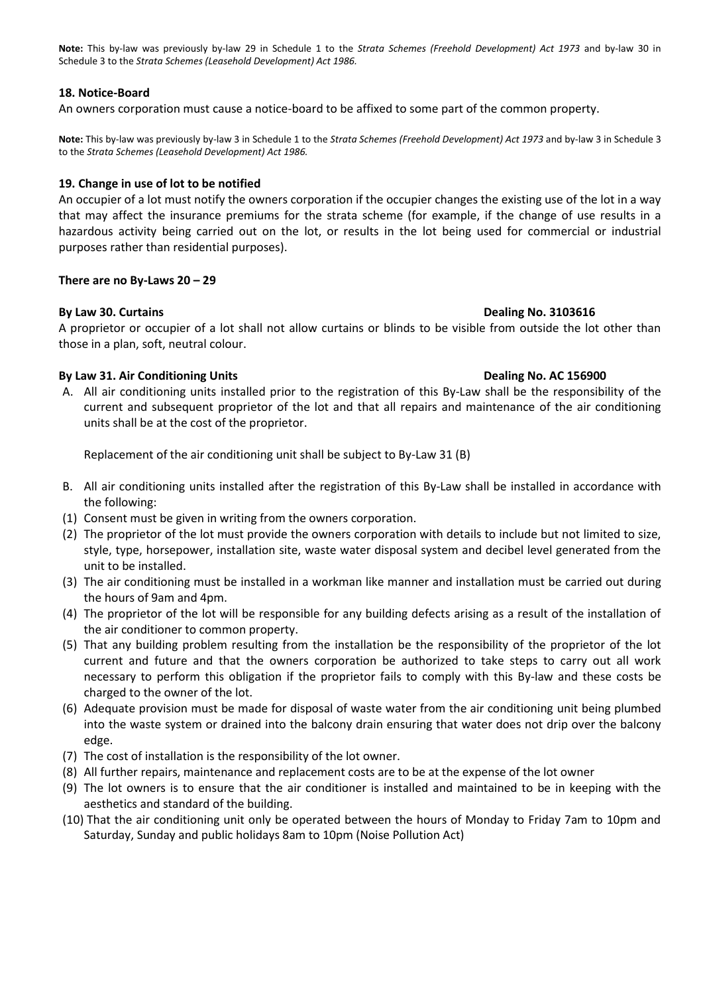**Note:** This by-law was previously by-law 29 in Schedule 1 to the *Strata Schemes (Freehold Development) Act 1973* and by-law 30 in Schedule 3 to the *Strata Schemes (Leasehold Development) Act 1986.*

#### **18. Notice-Board**

An owners corporation must cause a notice-board to be affixed to some part of the common property.

**Note:** This by-law was previously by-law 3 in Schedule 1 to the *Strata Schemes (Freehold Development) Act 1973* and by-law 3 in Schedule 3 to the *Strata Schemes (Leasehold Development) Act 1986.*

#### **19. Change in use of lot to be notified**

An occupier of a lot must notify the owners corporation if the occupier changes the existing use of the lot in a way that may affect the insurance premiums for the strata scheme (for example, if the change of use results in a hazardous activity being carried out on the lot, or results in the lot being used for commercial or industrial purposes rather than residential purposes).

#### There are no By-Laws  $20 - 29$

#### **By Law 30. Curtains Dealing No. 3103616**

A proprietor or occupier of a lot shall not allow curtains or blinds to be visible from outside the lot other than those in a plan, soft, neutral colour.

#### **By Law 31. Air Conditioning Units <b>Dealing No. AC 156900 Dealing No. AC 156900**

A. All air conditioning units installed prior to the registration of this By-Law shall be the responsibility of the current and subsequent proprietor of the lot and that all repairs and maintenance of the air conditioning units shall be at the cost of the proprietor.

Replacement of the air conditioning unit shall be subject to By-Law 31 (B)

- B. All air conditioning units installed after the registration of this By-Law shall be installed in accordance with the following:
- (1) Consent must be given in writing from the owners corporation.
- (2) The proprietor of the lot must provide the owners corporation with details to include but not limited to size, style, type, horsepower, installation site, waste water disposal system and decibel level generated from the unit to be installed.
- (3) The air conditioning must be installed in a workman like manner and installation must be carried out during the hours of 9am and 4pm.
- (4) The proprietor of the lot will be responsible for any building defects arising as a result of the installation of the air conditioner to common property.
- (5) That any building problem resulting from the installation be the responsibility of the proprietor of the lot current and future and that the owners corporation be authorized to take steps to carry out all work necessary to perform this obligation if the proprietor fails to comply with this By-law and these costs be charged to the owner of the lot.
- (6) Adequate provision must be made for disposal of waste water from the air conditioning unit being plumbed into the waste system or drained into the balcony drain ensuring that water does not drip over the balcony edge.
- (7) The cost of installation is the responsibility of the lot owner.
- (8) All further repairs, maintenance and replacement costs are to be at the expense of the lot owner
- (9) The lot owners is to ensure that the air conditioner is installed and maintained to be in keeping with the aesthetics and standard of the building.
- (10) That the air conditioning unit only be operated between the hours of Monday to Friday 7am to 10pm and Saturday, Sunday and public holidays 8am to 10pm (Noise Pollution Act)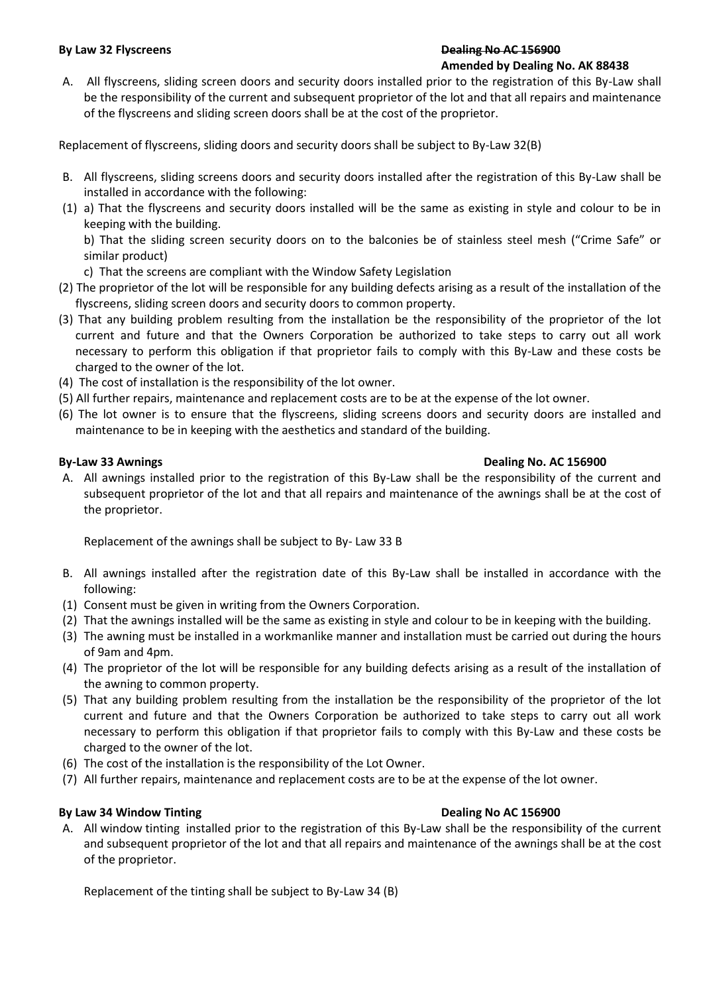#### **By Law 32 Flyscreens Dealing No AC 156900 Amended by Dealing No. AK 88438**

A. All flyscreens, sliding screen doors and security doors installed prior to the registration of this By-Law shall be the responsibility of the current and subsequent proprietor of the lot and that all repairs and maintenance of the flyscreens and sliding screen doors shall be at the cost of the proprietor.

Replacement of flyscreens, sliding doors and security doors shall be subject to By-Law 32(B)

- B. All flyscreens, sliding screens doors and security doors installed after the registration of this By-Law shall be installed in accordance with the following:
- (1) a) That the flyscreens and security doors installed will be the same as existing in style and colour to be in keeping with the building.

b) That the sliding screen security doors on to the balconies be of stainless steel mesh ("Crime Safe" or similar product)

- c) That the screens are compliant with the Window Safety Legislation
- (2) The proprietor of the lot will be responsible for any building defects arising as a result of the installation of the flyscreens, sliding screen doors and security doors to common property.
- (3) That any building problem resulting from the installation be the responsibility of the proprietor of the lot current and future and that the Owners Corporation be authorized to take steps to carry out all work necessary to perform this obligation if that proprietor fails to comply with this By-Law and these costs be charged to the owner of the lot.
- (4) The cost of installation is the responsibility of the lot owner.
- (5) All further repairs, maintenance and replacement costs are to be at the expense of the lot owner.
- (6) The lot owner is to ensure that the flyscreens, sliding screens doors and security doors are installed and maintenance to be in keeping with the aesthetics and standard of the building.

## **By-Law 33 Awnings Dealing No. AC 156900**

A. All awnings installed prior to the registration of this By-Law shall be the responsibility of the current and subsequent proprietor of the lot and that all repairs and maintenance of the awnings shall be at the cost of the proprietor.

Replacement of the awnings shall be subject to By- Law 33 B

- B. All awnings installed after the registration date of this By-Law shall be installed in accordance with the following:
- (1) Consent must be given in writing from the Owners Corporation.
- (2) That the awnings installed will be the same as existing in style and colour to be in keeping with the building.
- (3) The awning must be installed in a workmanlike manner and installation must be carried out during the hours of 9am and 4pm.
- (4) The proprietor of the lot will be responsible for any building defects arising as a result of the installation of the awning to common property.
- (5) That any building problem resulting from the installation be the responsibility of the proprietor of the lot current and future and that the Owners Corporation be authorized to take steps to carry out all work necessary to perform this obligation if that proprietor fails to comply with this By-Law and these costs be charged to the owner of the lot.
- (6) The cost of the installation is the responsibility of the Lot Owner.
- (7) All further repairs, maintenance and replacement costs are to be at the expense of the lot owner.

## **By Law 34 Window Tinting The Contract of Contract Contract Contract Contract Contract Contract Contract Contract Contract Contract Contract Contract Contract Contract Contract Contract Contract Contract Contract Contract**

A. All window tinting installed prior to the registration of this By-Law shall be the responsibility of the current and subsequent proprietor of the lot and that all repairs and maintenance of the awnings shall be at the cost of the proprietor.

Replacement of the tinting shall be subject to By-Law 34 (B)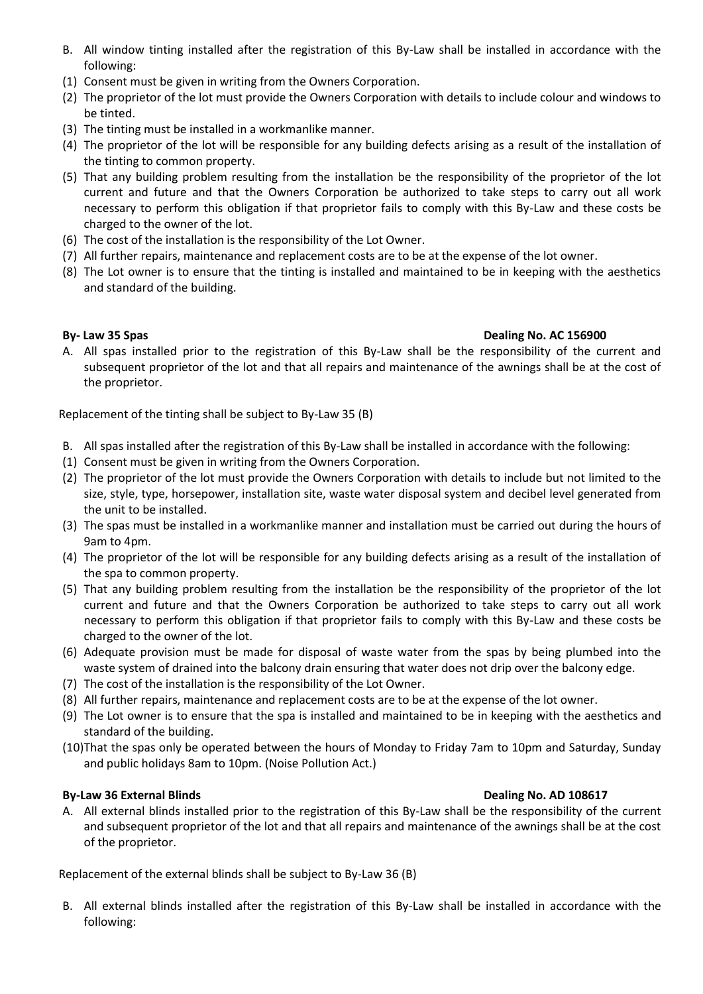- B. All window tinting installed after the registration of this By-Law shall be installed in accordance with the following:
- (1) Consent must be given in writing from the Owners Corporation.
- (2) The proprietor of the lot must provide the Owners Corporation with details to include colour and windows to be tinted.
- (3) The tinting must be installed in a workmanlike manner.
- (4) The proprietor of the lot will be responsible for any building defects arising as a result of the installation of the tinting to common property.
- (5) That any building problem resulting from the installation be the responsibility of the proprietor of the lot current and future and that the Owners Corporation be authorized to take steps to carry out all work necessary to perform this obligation if that proprietor fails to comply with this By-Law and these costs be charged to the owner of the lot.
- (6) The cost of the installation is the responsibility of the Lot Owner.
- (7) All further repairs, maintenance and replacement costs are to be at the expense of the lot owner.
- (8) The Lot owner is to ensure that the tinting is installed and maintained to be in keeping with the aesthetics and standard of the building.

## **By- Law 35 Spas Dealing No. AC 156900**

A. All spas installed prior to the registration of this By-Law shall be the responsibility of the current and subsequent proprietor of the lot and that all repairs and maintenance of the awnings shall be at the cost of the proprietor.

Replacement of the tinting shall be subject to By-Law 35 (B)

- B. All spas installed after the registration of this By-Law shall be installed in accordance with the following:
- (1) Consent must be given in writing from the Owners Corporation.
- (2) The proprietor of the lot must provide the Owners Corporation with details to include but not limited to the size, style, type, horsepower, installation site, waste water disposal system and decibel level generated from the unit to be installed.
- (3) The spas must be installed in a workmanlike manner and installation must be carried out during the hours of 9am to 4pm.
- (4) The proprietor of the lot will be responsible for any building defects arising as a result of the installation of the spa to common property.
- (5) That any building problem resulting from the installation be the responsibility of the proprietor of the lot current and future and that the Owners Corporation be authorized to take steps to carry out all work necessary to perform this obligation if that proprietor fails to comply with this By-Law and these costs be charged to the owner of the lot.
- (6) Adequate provision must be made for disposal of waste water from the spas by being plumbed into the waste system of drained into the balcony drain ensuring that water does not drip over the balcony edge.
- (7) The cost of the installation is the responsibility of the Lot Owner.
- (8) All further repairs, maintenance and replacement costs are to be at the expense of the lot owner.
- (9) The Lot owner is to ensure that the spa is installed and maintained to be in keeping with the aesthetics and standard of the building.
- (10)That the spas only be operated between the hours of Monday to Friday 7am to 10pm and Saturday, Sunday and public holidays 8am to 10pm. (Noise Pollution Act.)

## **By-Law 36 External Blinds Dealing No. AD 108617**

A. All external blinds installed prior to the registration of this By-Law shall be the responsibility of the current and subsequent proprietor of the lot and that all repairs and maintenance of the awnings shall be at the cost of the proprietor.

Replacement of the external blinds shall be subject to By-Law 36 (B)

B. All external blinds installed after the registration of this By-Law shall be installed in accordance with the following: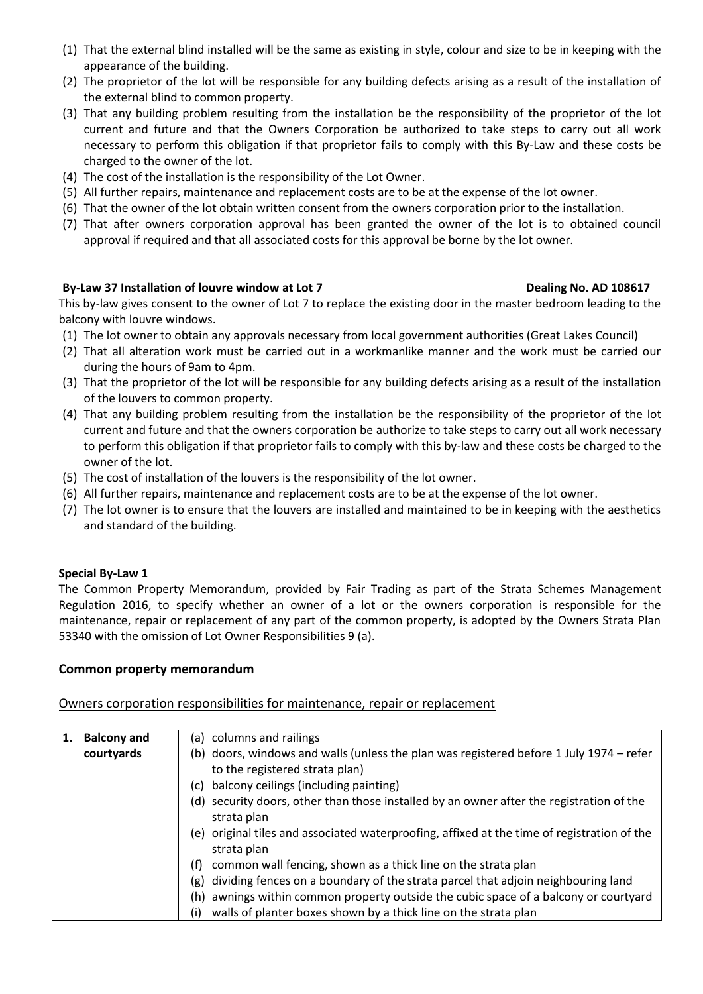- (1) That the external blind installed will be the same as existing in style, colour and size to be in keeping with the appearance of the building.
- (2) The proprietor of the lot will be responsible for any building defects arising as a result of the installation of the external blind to common property.
- (3) That any building problem resulting from the installation be the responsibility of the proprietor of the lot current and future and that the Owners Corporation be authorized to take steps to carry out all work necessary to perform this obligation if that proprietor fails to comply with this By-Law and these costs be charged to the owner of the lot.
- (4) The cost of the installation is the responsibility of the Lot Owner.
- (5) All further repairs, maintenance and replacement costs are to be at the expense of the lot owner.
- (6) That the owner of the lot obtain written consent from the owners corporation prior to the installation.
- (7) That after owners corporation approval has been granted the owner of the lot is to obtained council approval if required and that all associated costs for this approval be borne by the lot owner.

## By-Law 37 Installation of louvre window at Lot 7 **Dealing No. AD 108617**

This by-law gives consent to the owner of Lot 7 to replace the existing door in the master bedroom leading to the balcony with louvre windows.

- (1) The lot owner to obtain any approvals necessary from local government authorities (Great Lakes Council)
- (2) That all alteration work must be carried out in a workmanlike manner and the work must be carried our during the hours of 9am to 4pm.
- (3) That the proprietor of the lot will be responsible for any building defects arising as a result of the installation of the louvers to common property.
- (4) That any building problem resulting from the installation be the responsibility of the proprietor of the lot current and future and that the owners corporation be authorize to take steps to carry out all work necessary to perform this obligation if that proprietor fails to comply with this by-law and these costs be charged to the owner of the lot.
- (5) The cost of installation of the louvers is the responsibility of the lot owner.
- (6) All further repairs, maintenance and replacement costs are to be at the expense of the lot owner.
- (7) The lot owner is to ensure that the louvers are installed and maintained to be in keeping with the aesthetics and standard of the building.

### **Special By-Law 1**

The Common Property Memorandum, provided by Fair Trading as part of the Strata Schemes Management Regulation 2016, to specify whether an owner of a lot or the owners corporation is responsible for the maintenance, repair or replacement of any part of the common property, is adopted by the Owners Strata Plan 53340 with the omission of Lot Owner Responsibilities 9 (a).

### **Common property memorandum**

Owners corporation responsibilities for maintenance, repair or replacement

| <b>Balcony and</b> | (a) columns and railings                                                                    |
|--------------------|---------------------------------------------------------------------------------------------|
| courtyards         | (b) doors, windows and walls (unless the plan was registered before 1 July 1974 – refer     |
|                    | to the registered strata plan)                                                              |
|                    | (c) balcony ceilings (including painting)                                                   |
|                    | (d) security doors, other than those installed by an owner after the registration of the    |
|                    | strata plan                                                                                 |
|                    | (e) original tiles and associated waterproofing, affixed at the time of registration of the |
|                    | strata plan                                                                                 |
|                    | common wall fencing, shown as a thick line on the strata plan<br>(f)                        |
|                    | dividing fences on a boundary of the strata parcel that adjoin neighbouring land<br>(g)     |
|                    | awnings within common property outside the cubic space of a balcony or courtyard<br>(h)     |
|                    | walls of planter boxes shown by a thick line on the strata plan<br>(i)                      |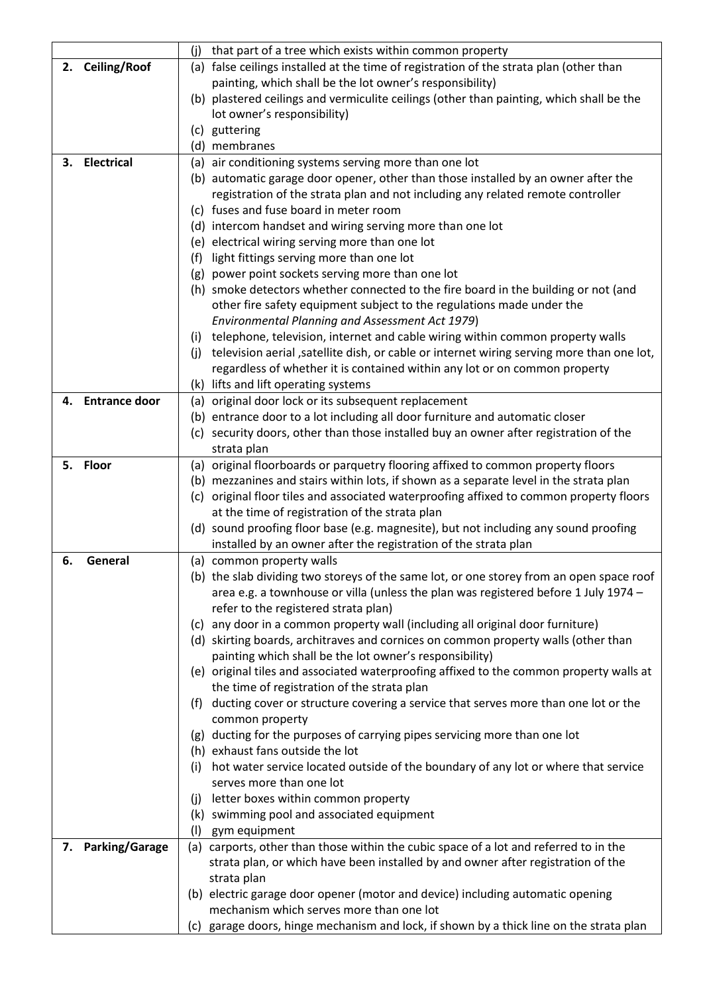|    |                      | (i)<br>that part of a tree which exists within common property                                   |
|----|----------------------|--------------------------------------------------------------------------------------------------|
|    | 2. Ceiling/Roof      | (a) false ceilings installed at the time of registration of the strata plan (other than          |
|    |                      | painting, which shall be the lot owner's responsibility)                                         |
|    |                      | (b) plastered ceilings and vermiculite ceilings (other than painting, which shall be the         |
|    |                      | lot owner's responsibility)                                                                      |
|    |                      | (c) guttering                                                                                    |
|    |                      | (d) membranes                                                                                    |
| 3. | <b>Electrical</b>    | (a) air conditioning systems serving more than one lot                                           |
|    |                      | (b) automatic garage door opener, other than those installed by an owner after the               |
|    |                      | registration of the strata plan and not including any related remote controller                  |
|    |                      | (c) fuses and fuse board in meter room                                                           |
|    |                      | (d) intercom handset and wiring serving more than one lot                                        |
|    |                      | (e) electrical wiring serving more than one lot                                                  |
|    |                      | (f) light fittings serving more than one lot                                                     |
|    |                      | (g) power point sockets serving more than one lot                                                |
|    |                      | (h) smoke detectors whether connected to the fire board in the building or not (and              |
|    |                      | other fire safety equipment subject to the regulations made under the                            |
|    |                      | Environmental Planning and Assessment Act 1979)                                                  |
|    |                      | (i) telephone, television, internet and cable wiring within common property walls                |
|    |                      | television aerial ,satellite dish, or cable or internet wiring serving more than one lot,<br>(j) |
|    |                      | regardless of whether it is contained within any lot or on common property                       |
|    |                      | (k) lifts and lift operating systems                                                             |
| 4. | <b>Entrance door</b> | (a) original door lock or its subsequent replacement                                             |
|    |                      | (b) entrance door to a lot including all door furniture and automatic closer                     |
|    |                      | (c) security doors, other than those installed buy an owner after registration of the            |
|    |                      | strata plan                                                                                      |
|    | 5. Floor             | (a) original floorboards or parquetry flooring affixed to common property floors                 |
|    |                      | (b) mezzanines and stairs within lots, if shown as a separate level in the strata plan           |
|    |                      | (c) original floor tiles and associated waterproofing affixed to common property floors          |
|    |                      | at the time of registration of the strata plan                                                   |
|    |                      | (d) sound proofing floor base (e.g. magnesite), but not including any sound proofing             |
|    |                      | installed by an owner after the registration of the strata plan                                  |
| 6. | General              | (a) common property walls                                                                        |
|    |                      | (b) the slab dividing two storeys of the same lot, or one storey from an open space roof         |
|    |                      | area e.g. a townhouse or villa (unless the plan was registered before 1 July 1974 -              |
|    |                      | refer to the registered strata plan)                                                             |
|    |                      | (c) any door in a common property wall (including all original door furniture)                   |
|    |                      | (d) skirting boards, architraves and cornices on common property walls (other than               |
|    |                      | painting which shall be the lot owner's responsibility)                                          |
|    |                      | (e) original tiles and associated waterproofing affixed to the common property walls at          |
|    |                      | the time of registration of the strata plan                                                      |
|    |                      | (f) ducting cover or structure covering a service that serves more than one lot or the           |
|    |                      | common property                                                                                  |
|    |                      | (g) ducting for the purposes of carrying pipes servicing more than one lot                       |
|    |                      | (h) exhaust fans outside the lot                                                                 |
|    |                      | hot water service located outside of the boundary of any lot or where that service<br>(i)        |
|    |                      | serves more than one lot                                                                         |
|    |                      | letter boxes within common property<br>(j)                                                       |
|    |                      | (k) swimming pool and associated equipment                                                       |
|    |                      | (1)<br>gym equipment                                                                             |
|    | 7. Parking/Garage    | (a) carports, other than those within the cubic space of a lot and referred to in the            |
|    |                      | strata plan, or which have been installed by and owner after registration of the                 |
|    |                      | strata plan                                                                                      |
|    |                      | (b) electric garage door opener (motor and device) including automatic opening                   |
|    |                      | mechanism which serves more than one lot                                                         |
|    |                      | (c) garage doors, hinge mechanism and lock, if shown by a thick line on the strata plan          |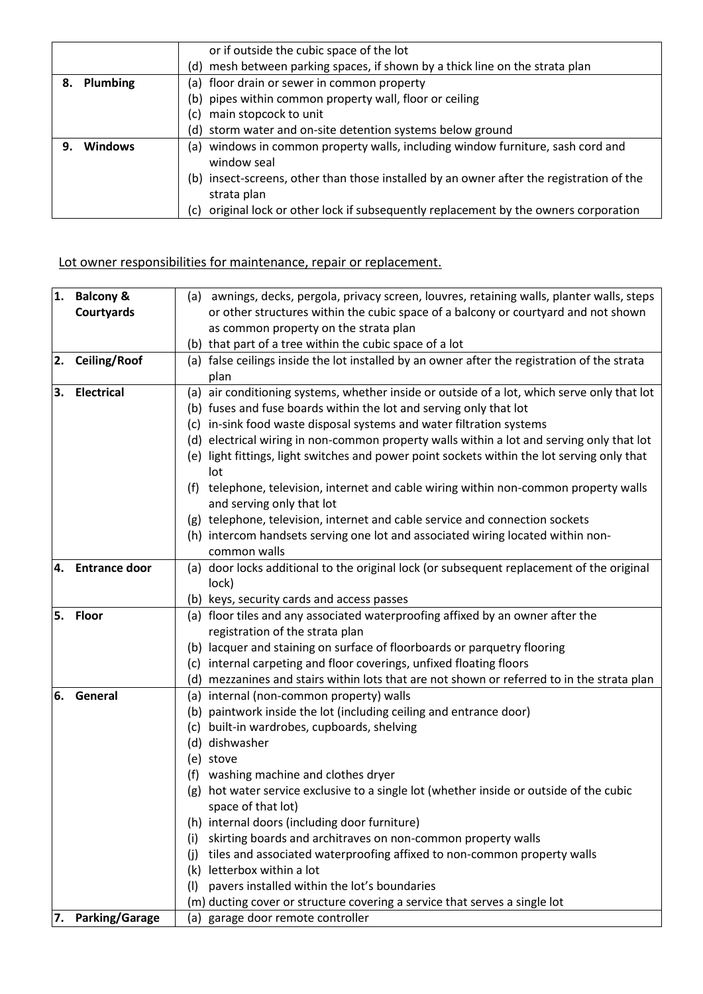|    |             | or if outside the cubic space of the lot                                                 |
|----|-------------|------------------------------------------------------------------------------------------|
|    |             | (d) mesh between parking spaces, if shown by a thick line on the strata plan             |
|    | 8. Plumbing | (a) floor drain or sewer in common property                                              |
|    |             | (b) pipes within common property wall, floor or ceiling                                  |
|    |             | main stopcock to unit<br>(c).                                                            |
|    |             | (d) storm water and on-site detention systems below ground                               |
| 9. | Windows     | (a) windows in common property walls, including window furniture, sash cord and          |
|    |             | window seal                                                                              |
|    |             | (b) insect-screens, other than those installed by an owner after the registration of the |
|    |             | strata plan                                                                              |
|    |             | original lock or other lock if subsequently replacement by the owners corporation<br>(c) |

## Lot owner responsibilities for maintenance, repair or replacement.

| 1. | <b>Balcony &amp;</b>  | (a) awnings, decks, pergola, privacy screen, louvres, retaining walls, planter walls, steps                        |
|----|-----------------------|--------------------------------------------------------------------------------------------------------------------|
|    | Courtyards            | or other structures within the cubic space of a balcony or courtyard and not shown                                 |
|    |                       | as common property on the strata plan                                                                              |
|    |                       | (b) that part of a tree within the cubic space of a lot                                                            |
| 2. | <b>Ceiling/Roof</b>   | (a) false ceilings inside the lot installed by an owner after the registration of the strata                       |
|    |                       | plan                                                                                                               |
| 3. | <b>Electrical</b>     | (a) air conditioning systems, whether inside or outside of a lot, which serve only that lot                        |
|    |                       | (b) fuses and fuse boards within the lot and serving only that lot                                                 |
|    |                       | (c) in-sink food waste disposal systems and water filtration systems                                               |
|    |                       | (d) electrical wiring in non-common property walls within a lot and serving only that lot                          |
|    |                       | (e) light fittings, light switches and power point sockets within the lot serving only that<br>lot                 |
|    |                       | (f) telephone, television, internet and cable wiring within non-common property walls<br>and serving only that lot |
|    |                       | (g) telephone, television, internet and cable service and connection sockets                                       |
|    |                       | (h) intercom handsets serving one lot and associated wiring located within non-                                    |
|    |                       | common walls                                                                                                       |
| 4. | <b>Entrance door</b>  | (a) door locks additional to the original lock (or subsequent replacement of the original                          |
|    |                       | lock)                                                                                                              |
|    |                       | (b) keys, security cards and access passes                                                                         |
| 5. | <b>Floor</b>          | (a) floor tiles and any associated waterproofing affixed by an owner after the                                     |
|    |                       | registration of the strata plan                                                                                    |
|    |                       | (b) lacquer and staining on surface of floorboards or parquetry flooring                                           |
|    |                       | (c) internal carpeting and floor coverings, unfixed floating floors                                                |
|    |                       | (d) mezzanines and stairs within lots that are not shown or referred to in the strata plan                         |
| 6. | General               | (a) internal (non-common property) walls                                                                           |
|    |                       | (b) paintwork inside the lot (including ceiling and entrance door)                                                 |
|    |                       | (c) built-in wardrobes, cupboards, shelving                                                                        |
|    |                       | (d) dishwasher                                                                                                     |
|    |                       | (e) stove                                                                                                          |
|    |                       | washing machine and clothes dryer<br>(f)                                                                           |
|    |                       | (g) hot water service exclusive to a single lot (whether inside or outside of the cubic                            |
|    |                       | space of that lot)                                                                                                 |
|    |                       | (h) internal doors (including door furniture)                                                                      |
|    |                       | skirting boards and architraves on non-common property walls<br>(i)                                                |
|    |                       | tiles and associated waterproofing affixed to non-common property walls<br>(i)                                     |
|    |                       | (k) letterbox within a lot                                                                                         |
|    |                       | pavers installed within the lot's boundaries<br>(1)                                                                |
|    |                       | (m) ducting cover or structure covering a service that serves a single lot                                         |
| 7. | <b>Parking/Garage</b> | garage door remote controller<br>(a)                                                                               |